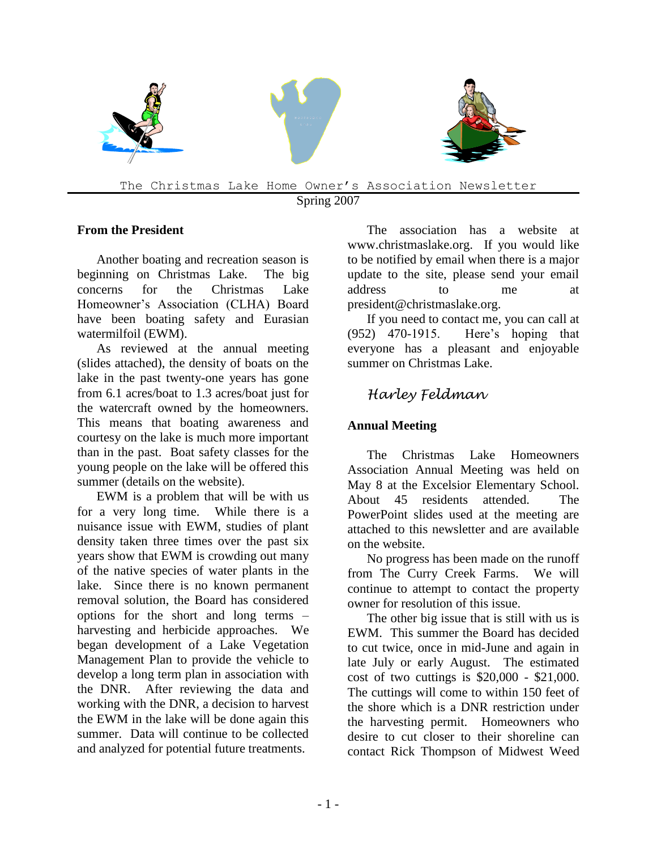

The Christmas Lake Home Owner's Association Newsletter Spring 2007

#### **From the President**

Another boating and recreation season is beginning on Christmas Lake. The big concerns for the Christmas Lake Homeowner's Association (CLHA) Board have been boating safety and Eurasian watermilfoil (EWM).

As reviewed at the annual meeting (slides attached), the density of boats on the lake in the past twenty-one years has gone from 6.1 acres/boat to 1.3 acres/boat just for the watercraft owned by the homeowners. This means that boating awareness and courtesy on the lake is much more important than in the past. Boat safety classes for the young people on the lake will be offered this summer (details on the website).

EWM is a problem that will be with us for a very long time. While there is a nuisance issue with EWM, studies of plant density taken three times over the past six years show that EWM is crowding out many of the native species of water plants in the lake. Since there is no known permanent removal solution, the Board has considered options for the short and long terms – harvesting and herbicide approaches. We began development of a Lake Vegetation Management Plan to provide the vehicle to develop a long term plan in association with the DNR. After reviewing the data and working with the DNR, a decision to harvest the EWM in the lake will be done again this summer. Data will continue to be collected and analyzed for potential future treatments.

The association has a website at www.christmaslake.org. If you would like to be notified by email when there is a major update to the site, please send your email address to me at president@christmaslake.org.

If you need to contact me, you can call at (952) 470-1915. Here's hoping that everyone has a pleasant and enjoyable summer on Christmas Lake.

# *Harley Feldman*

### **Annual Meeting**

The Christmas Lake Homeowners Association Annual Meeting was held on May 8 at the Excelsior Elementary School. About 45 residents attended. The PowerPoint slides used at the meeting are attached to this newsletter and are available on the website.

No progress has been made on the runoff from The Curry Creek Farms. We will continue to attempt to contact the property owner for resolution of this issue.

The other big issue that is still with us is EWM. This summer the Board has decided to cut twice, once in mid-June and again in late July or early August. The estimated cost of two cuttings is \$20,000 - \$21,000. The cuttings will come to within 150 feet of the shore which is a DNR restriction under the harvesting permit. Homeowners who desire to cut closer to their shoreline can contact Rick Thompson of Midwest Weed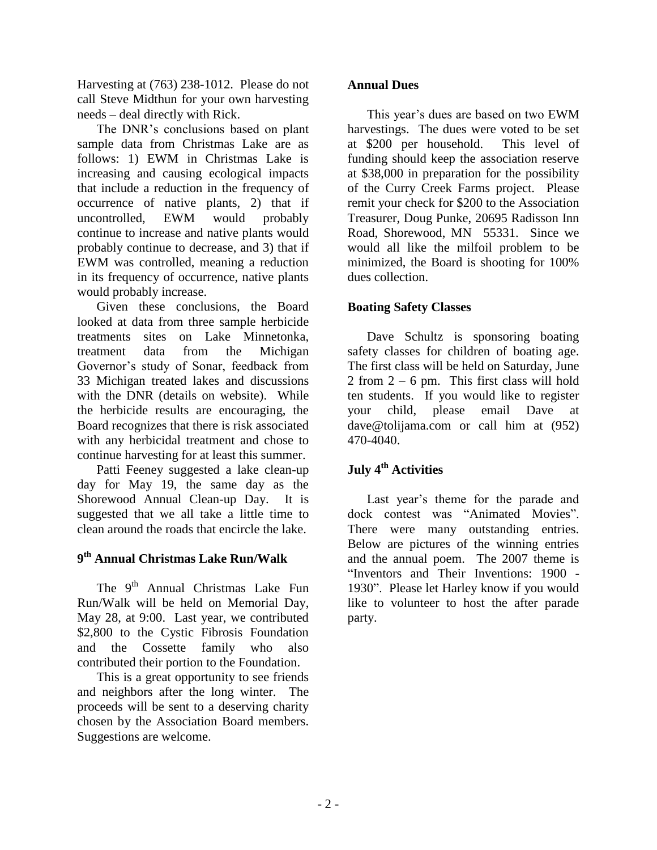Harvesting at (763) 238-1012. Please do not call Steve Midthun for your own harvesting needs – deal directly with Rick.

The DNR's conclusions based on plant sample data from Christmas Lake are as follows: 1) EWM in Christmas Lake is increasing and causing ecological impacts that include a reduction in the frequency of occurrence of native plants, 2) that if uncontrolled, EWM would probably continue to increase and native plants would probably continue to decrease, and 3) that if EWM was controlled, meaning a reduction in its frequency of occurrence, native plants would probably increase.

Given these conclusions, the Board looked at data from three sample herbicide treatments sites on Lake Minnetonka, treatment data from the Michigan Governor's study of Sonar, feedback from 33 Michigan treated lakes and discussions with the DNR (details on website). While the herbicide results are encouraging, the Board recognizes that there is risk associated with any herbicidal treatment and chose to continue harvesting for at least this summer.

Patti Feeney suggested a lake clean-up day for May 19, the same day as the Shorewood Annual Clean-up Day. It is suggested that we all take a little time to clean around the roads that encircle the lake.

## **9 th Annual Christmas Lake Run/Walk**

The 9<sup>th</sup> Annual Christmas Lake Fun Run/Walk will be held on Memorial Day, May 28, at 9:00. Last year, we contributed \$2,800 to the Cystic Fibrosis Foundation and the Cossette family who also contributed their portion to the Foundation.

This is a great opportunity to see friends and neighbors after the long winter. The proceeds will be sent to a deserving charity chosen by the Association Board members. Suggestions are welcome.

### **Annual Dues**

This year's dues are based on two EWM harvestings. The dues were voted to be set at \$200 per household. This level of funding should keep the association reserve at \$38,000 in preparation for the possibility of the Curry Creek Farms project. Please remit your check for \$200 to the Association Treasurer, Doug Punke, 20695 Radisson Inn Road, Shorewood, MN 55331. Since we would all like the milfoil problem to be minimized, the Board is shooting for 100% dues collection.

### **Boating Safety Classes**

Dave Schultz is sponsoring boating safety classes for children of boating age. The first class will be held on Saturday, June  $2$  from  $2 - 6$  pm. This first class will hold ten students. If you would like to register your child, please email Dave at dave@tolijama.com or call him at (952) 470-4040.

# **July 4th Activities**

Last year's theme for the parade and dock contest was "Animated Movies". There were many outstanding entries. Below are pictures of the winning entries and the annual poem. The 2007 theme is "Inventors and Their Inventions: 1900 - 1930". Please let Harley know if you would like to volunteer to host the after parade party.